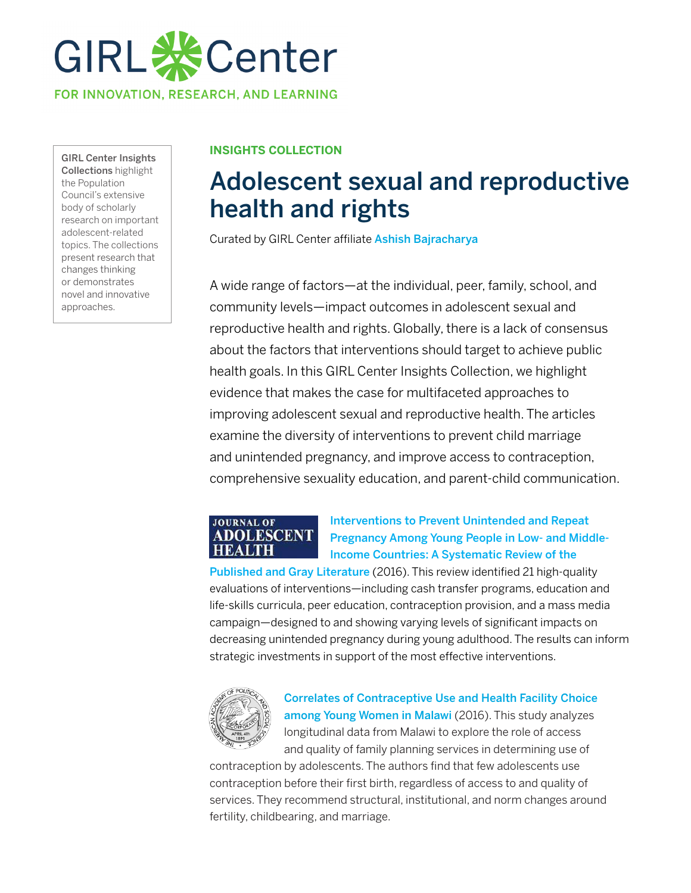

GIRL Center Insights Collections highlight the Population Council's extensive body of scholarly research on important adolescent-related topics. The collections present research that changes thinking or demonstrates novel and innovative approaches.

## **INSIGHTS COLLECTION**

# Adolescent sexual and reproductive health and rights

Curated by GIRL Center affiliate Ashish Bajracharya

A wide range of factors—at the individual, peer, family, school, and community levels—impact outcomes in adolescent sexual and reproductive health and rights. Globally, there is a lack of consensus about the factors that interventions should target to achieve public health goals. In this GIRL Center Insights Collection, we highlight evidence that makes the case for multifaceted approaches to improving adolescent sexual and reproductive health. The articles examine the diversity of interventions to prevent child marriage and unintended pregnancy, and improve access to contraception, comprehensive sexuality education, and parent-child communication.

#### **JOURNAL OF ADOLESCENT HEALTH**

## Interventions to Prevent Unintended and Repeat [Pregnancy Among Young People in Low- and Middle-](https://www.jahonline.org/article/S1054-139X(16)30061-1/fulltext)Income Countries: A Systematic Review of the

Published and Gray Literature (2016). This review identified 21 high-quality evaluations of interventions—including cash transfer programs, education and life-skills curricula, peer education, contraception provision, and a mass media campaign—designed to and showing varying levels of significant impacts on decreasing unintended pregnancy during young adulthood. The results can inform strategic investments in support of the most effective interventions.



[Correlates of Contraceptive Use and Health Facility Choice](https://journals.sagepub.com/doi/full/10.1177/0002716216678591)  among Young Women in Malawi (2016). This study analyzes longitudinal data from Malawi to explore the role of access and quality of family planning services in determining use of

contraception by adolescents. The authors find that few adolescents use contraception before their first birth, regardless of access to and quality of services. They recommend structural, institutional, and norm changes around fertility, childbearing, and marriage.